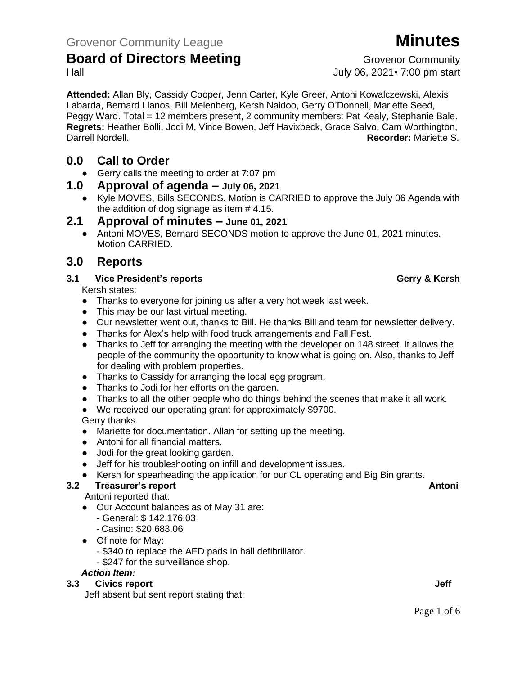**Attended:** Allan Bly, Cassidy Cooper, Jenn Carter, Kyle Greer, Antoni Kowalczewski, Alexis Labarda, Bernard Llanos, Bill Melenberg, Kersh Naidoo, Gerry O'Donnell, Mariette Seed, Peggy Ward. Total = 12 members present, 2 community members: Pat Kealy, Stephanie Bale. **Regrets:** Heather Bolli, Jodi M, Vince Bowen, Jeff Havixbeck, Grace Salvo, Cam Worthington, Darrell Nordell. **Recorder:** Mariette S.

## **0.0 Call to Order**

● Gerry calls the meeting to order at 7:07 pm

### **1.0 Approval of agenda – July 06, 2021**

● Kyle MOVES, Bills SECONDS. Motion is CARRIED to approve the July 06 Agenda with the addition of dog signage as item # 4.15.

### **2.1 Approval of minutes – June 01, 2021**

● Antoni MOVES, Bernard SECONDS motion to approve the June 01, 2021 minutes. Motion CARRIED.

### **3.0 Reports**

#### **3.1 Vice President's reports Gerry & Kersh**

Kersh states:

- Thanks to everyone for joining us after a very hot week last week.
- This may be our last virtual meeting.
- Our newsletter went out, thanks to Bill. He thanks Bill and team for newsletter delivery.
- Thanks for Alex's help with food truck arrangements and Fall Fest.
- Thanks to Jeff for arranging the meeting with the developer on 148 street. It allows the people of the community the opportunity to know what is going on. Also, thanks to Jeff for dealing with problem properties.
- Thanks to Cassidy for arranging the local egg program.
- Thanks to Jodi for her efforts on the garden.
- Thanks to all the other people who do things behind the scenes that make it all work.
- We received our operating grant for approximately \$9700.

### Gerry thanks

- Mariette for documentation. Allan for setting up the meeting.
- Antoni for all financial matters.
- Jodi for the great looking garden.
- Jeff for his troubleshooting on infill and development issues.
- Kersh for spearheading the application for our CL operating and Big Bin grants.

### **3.2 Freasurer's report Antonic Structure Antonic Structure Antonic Antonic Antonic Antonic Antonic Antonic Antoni**

Antoni reported that:

- Our Account balances as of May 31 are:
	- General: \$ 142,176.03
	- Casino: \$20,683.06
- Of note for May:
	- \$340 to replace the AED pads in hall defibrillator.
	- \$247 for the surveillance shop.

### *Action Item:*

### **3.3** Civics report **Jeff**

Jeff absent but sent report stating that:

Hall July 06, 2021▪ 7:00 pm start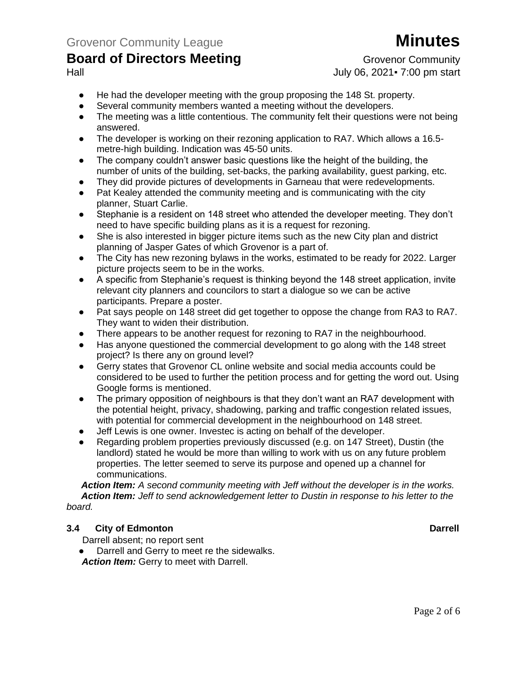# Hall July 06, 2021▪ 7:00 pm start

- He had the developer meeting with the group proposing the 148 St. property.
- Several community members wanted a meeting without the developers.
- The meeting was a little contentious. The community felt their questions were not being answered.
- The developer is working on their rezoning application to RA7. Which allows a 16.5 metre-high building. Indication was 45-50 units.
- The company couldn't answer basic questions like the height of the building, the number of units of the building, set-backs, the parking availability, guest parking, etc.
- They did provide pictures of developments in Garneau that were redevelopments.
- Pat Kealey attended the community meeting and is communicating with the city planner, Stuart Carlie.
- Stephanie is a resident on 148 street who attended the developer meeting. They don't need to have specific building plans as it is a request for rezoning.
- She is also interested in bigger picture items such as the new City plan and district planning of Jasper Gates of which Grovenor is a part of.
- The City has new rezoning bylaws in the works, estimated to be ready for 2022. Larger picture projects seem to be in the works.
- A specific from Stephanie's request is thinking beyond the 148 street application, invite relevant city planners and councilors to start a dialogue so we can be active participants. Prepare a poster.
- Pat says people on 148 street did get together to oppose the change from RA3 to RA7. They want to widen their distribution.
- There appears to be another request for rezoning to RA7 in the neighbourhood.
- Has anyone questioned the commercial development to go along with the 148 street project? Is there any on ground level?
- Gerry states that Grovenor CL online website and social media accounts could be considered to be used to further the petition process and for getting the word out. Using Google forms is mentioned.
- The primary opposition of neighbours is that they don't want an RA7 development with the potential height, privacy, shadowing, parking and traffic congestion related issues, with potential for commercial development in the neighbourhood on 148 street.
- Jeff Lewis is one owner. Investec is acting on behalf of the developer.
- Regarding problem properties previously discussed (e.g. on 147 Street), Dustin (the landlord) stated he would be more than willing to work with us on any future problem properties. The letter seemed to serve its purpose and opened up a channel for communications.

*Action Item: A second community meeting with Jeff without the developer is in the works. Action Item: Jeff to send acknowledgement letter to Dustin in response to his letter to the board.*

#### **3.4 City of Edmonton Darrell**

Darrell absent; no report sent

Darrell and Gerry to meet re the sidewalks. *Action Item:* Gerry to meet with Darrell.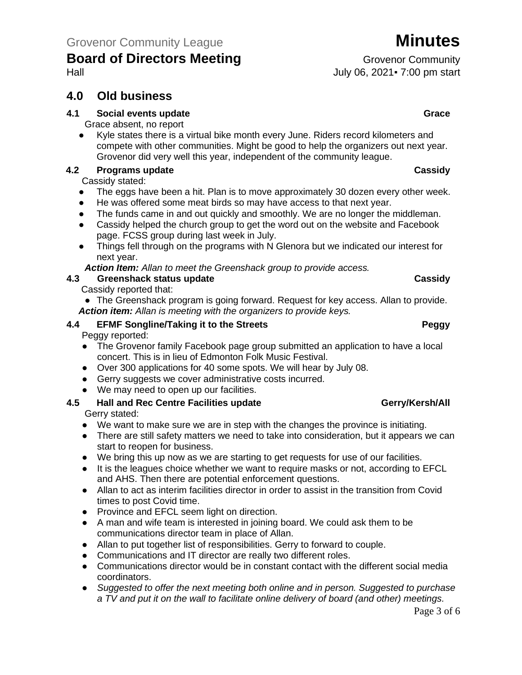## **4.0 Old business**

#### **4.1 Social events update Grace**

Grace absent, no report

● Kyle states there is a virtual bike month every June. Riders record kilometers and compete with other communities. Might be good to help the organizers out next year. Grovenor did very well this year, independent of the community league.

#### **4.2 Programs update Cassidy**

Cassidy stated:

- The eggs have been a hit. Plan is to move approximately 30 dozen every other week.
- He was offered some meat birds so may have access to that next year.
- The funds came in and out quickly and smoothly. We are no longer the middleman.
- Cassidy helped the church group to get the word out on the website and Facebook page. FCSS group during last week in July.
- Things fell through on the programs with N Glenora but we indicated our interest for next year.

*Action Item: Allan to meet the Greenshack group to provide access.*

#### **4.3 Greenshack status update Cassidy**

#### Cassidy reported that:

• The Greenshack program is going forward. Request for key access. Allan to provide. *Action item: Allan is meeting with the organizers to provide keys.* 

#### **4.4 EFMF Songline/Taking it to the Streets Peggy**

Peggy reported:

- The Grovenor family Facebook page group submitted an application to have a local concert. This is in lieu of Edmonton Folk Music Festival.
- Over 300 applications for 40 some spots. We will hear by July 08.
- Gerry suggests we cover administrative costs incurred.
- We may need to open up our facilities.

### **4.5 Hall and Rec Centre Facilities update Gerry/Kersh/All**

Gerry stated:

- We want to make sure we are in step with the changes the province is initiating.
- There are still safety matters we need to take into consideration, but it appears we can start to reopen for business.
- We bring this up now as we are starting to get requests for use of our facilities.
- It is the leagues choice whether we want to require masks or not, according to EFCL and AHS. Then there are potential enforcement questions.
- Allan to act as interim facilities director in order to assist in the transition from Covid times to post Covid time.
- Province and EFCL seem light on direction.
- A man and wife team is interested in joining board. We could ask them to be communications director team in place of Allan.
- Allan to put together list of responsibilities. Gerry to forward to couple.
- Communications and IT director are really two different roles.
- Communications director would be in constant contact with the different social media coordinators.
- *Suggested to offer the next meeting both online and in person. Suggested to purchase a TV and put it on the wall to facilitate online delivery of board (and other) meetings.*

Hall July 06, 2021▪ 7:00 pm start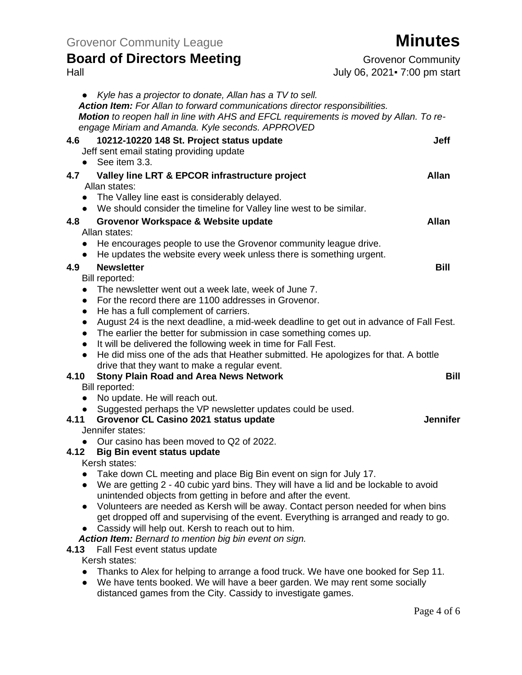# **Board of Directors Meeting Grovenor Community**

| Hall                                                                                                                                                                                                                                                                                 | July 06, 2021 - 7:00 pm start |
|--------------------------------------------------------------------------------------------------------------------------------------------------------------------------------------------------------------------------------------------------------------------------------------|-------------------------------|
| Kyle has a projector to donate, Allan has a TV to sell.<br>Action Item: For Allan to forward communications director responsibilities.<br>Motion to reopen hall in line with AHS and EFCL requirements is moved by Allan. To re-<br>engage Miriam and Amanda. Kyle seconds. APPROVED |                               |
| 4.6<br>10212-10220 148 St. Project status update<br>Jeff sent email stating providing update<br>See item 3.3.<br>$\bullet$                                                                                                                                                           | <b>Jeff</b>                   |
| Valley line LRT & EPCOR infrastructure project<br>4.7                                                                                                                                                                                                                                | <b>Allan</b>                  |
| Allan states:                                                                                                                                                                                                                                                                        |                               |
| The Valley line east is considerably delayed.<br>$\bullet$<br>• We should consider the timeline for Valley line west to be similar.                                                                                                                                                  |                               |
| 4.8<br>Grovenor Workspace & Website update                                                                                                                                                                                                                                           | <b>Allan</b>                  |
| Allan states:                                                                                                                                                                                                                                                                        |                               |
| He encourages people to use the Grovenor community league drive.<br>$\bullet$<br>He updates the website every week unless there is something urgent.<br>$\bullet$                                                                                                                    |                               |
| 4.9<br><b>Newsletter</b>                                                                                                                                                                                                                                                             | <b>Bill</b>                   |
| Bill reported:                                                                                                                                                                                                                                                                       |                               |
| The newsletter went out a week late, week of June 7.<br>$\bullet$                                                                                                                                                                                                                    |                               |
| For the record there are 1100 addresses in Grovenor.<br>$\bullet$                                                                                                                                                                                                                    |                               |
| He has a full complement of carriers.<br>$\bullet$                                                                                                                                                                                                                                   |                               |
| August 24 is the next deadline, a mid-week deadline to get out in advance of Fall Fest.<br>$\bullet$                                                                                                                                                                                 |                               |
| The earlier the better for submission in case something comes up.<br>$\bullet$                                                                                                                                                                                                       |                               |
| It will be delivered the following week in time for Fall Fest.<br>$\bullet$                                                                                                                                                                                                          |                               |
| He did miss one of the ads that Heather submitted. He apologizes for that. A bottle<br>$\bullet$<br>drive that they want to make a regular event.                                                                                                                                    |                               |
| 4.10<br><b>Stony Plain Road and Area News Network</b>                                                                                                                                                                                                                                | <b>Bill</b>                   |
| Bill reported:                                                                                                                                                                                                                                                                       |                               |
| No update. He will reach out.<br>$\bullet$                                                                                                                                                                                                                                           |                               |
| Suggested perhaps the VP newsletter updates could be used.<br>$\bullet$                                                                                                                                                                                                              |                               |
| 4.11<br>Grovenor CL Casino 2021 status update                                                                                                                                                                                                                                        | <b>Jennifer</b>               |
| Jennifer states:                                                                                                                                                                                                                                                                     |                               |
| Our casino has been moved to Q2 of 2022.<br>$\bullet$                                                                                                                                                                                                                                |                               |
| 4.12<br><b>Big Bin event status update</b>                                                                                                                                                                                                                                           |                               |
| Kersh states:                                                                                                                                                                                                                                                                        |                               |
| Take down CL meeting and place Big Bin event on sign for July 17.                                                                                                                                                                                                                    |                               |
| We are getting 2 - 40 cubic yard bins. They will have a lid and be lockable to avoid<br>$\bullet$<br>unintended objects from getting in before and after the event.                                                                                                                  |                               |
| Volunteers are needed as Kersh will be away. Contact person needed for when bins<br>$\bullet$                                                                                                                                                                                        |                               |
| get dropped off and supervising of the event. Everything is arranged and ready to go.                                                                                                                                                                                                |                               |
| Cassidy will help out. Kersh to reach out to him.                                                                                                                                                                                                                                    |                               |
| Action Item: Bernard to mention big bin event on sign.                                                                                                                                                                                                                               |                               |
| 4.13<br>Fall Fest event status update                                                                                                                                                                                                                                                |                               |
| Kersh states:                                                                                                                                                                                                                                                                        |                               |
| Thanks to Alex for helping to arrange a food truck. We have one booked for Sep 11.                                                                                                                                                                                                   |                               |
| We have tents booked. We will have a beer garden. We may rent some socially<br>$\bullet$                                                                                                                                                                                             |                               |
| distanced games from the City. Cassidy to investigate games.                                                                                                                                                                                                                         |                               |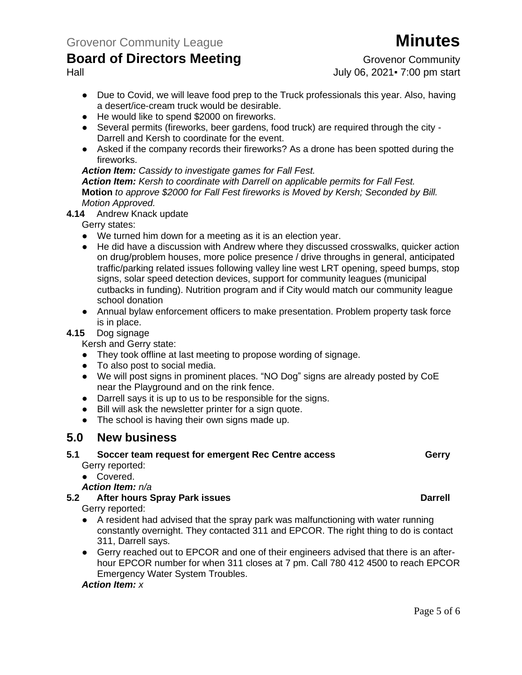Hall July 06, 2021▪ 7:00 pm start

- Due to Covid, we will leave food prep to the Truck professionals this year. Also, having a desert/ice-cream truck would be desirable.
- He would like to spend \$2000 on fireworks.
- Several permits (fireworks, beer gardens, food truck) are required through the city Darrell and Kersh to coordinate for the event.
- Asked if the company records their fireworks? As a drone has been spotted during the fireworks.

*Action Item: Cassidy to investigate games for Fall Fest.*

*Action Item: Kersh to coordinate with Darrell on applicable permits for Fall Fest.* **Motion** *to approve \$2000 for Fall Fest fireworks is Moved by Kersh; Seconded by Bill. Motion Approved.*

**4.14** Andrew Knack update

Gerry states:

- We turned him down for a meeting as it is an election year.
- He did have a discussion with Andrew where they discussed crosswalks, quicker action on drug/problem houses, more police presence / drive throughs in general, anticipated traffic/parking related issues following valley line west LRT opening, speed bumps, stop signs, solar speed detection devices, support for community leagues (municipal cutbacks in funding). Nutrition program and if City would match our community league school donation
- Annual bylaw enforcement officers to make presentation. Problem property task force is in place.

#### **4.15** Dog signage

Kersh and Gerry state:

- They took offline at last meeting to propose wording of signage.
- To also post to social media.
- We will post signs in prominent places. "NO Dog" signs are already posted by CoE near the Playground and on the rink fence.
- Darrell says it is up to us to be responsible for the signs.
- Bill will ask the newsletter printer for a sign quote.
- The school is having their own signs made up.

### **5.0 New business**

# **5.1** Soccer team request for emergent Rec Centre access **Gerry**

Gerry reported:

● Covered.

*Action Item: n/a*

**5.2 After hours Spray Park issues Darrell**

Gerry reported:

- A resident had advised that the spray park was malfunctioning with water running constantly overnight. They contacted 311 and EPCOR. The right thing to do is contact 311, Darrell says.
- Gerry reached out to EPCOR and one of their engineers advised that there is an afterhour EPCOR number for when 311 closes at 7 pm. Call 780 412 4500 to reach EPCOR Emergency Water System Troubles.

#### *Action Item: x*

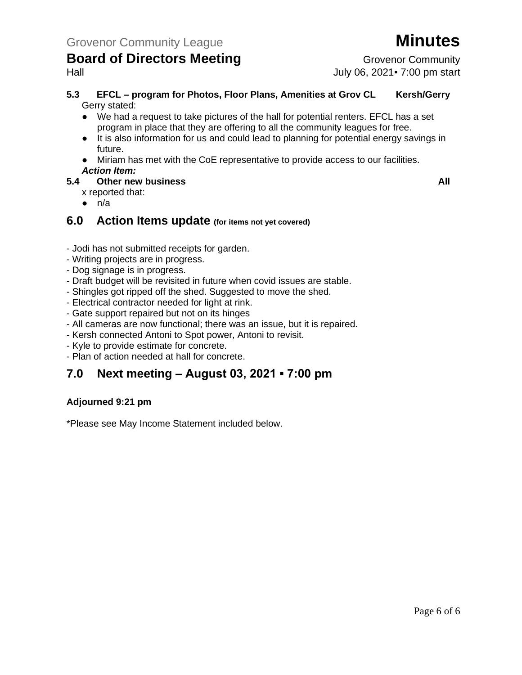# Hall July 06, 2021▪ 7:00 pm start

- **5.3 EFCL – program for Photos, Floor Plans, Amenities at Grov CL Kersh/Gerry** Gerry stated:
	- We had a request to take pictures of the hall for potential renters. EFCL has a set program in place that they are offering to all the community leagues for free.
	- It is also information for us and could lead to planning for potential energy savings in future.
	- Miriam has met with the CoE representative to provide access to our facilities. *Action Item:*
- **5.4 Other new business All**
	- x reported that:
	- $\bullet$  n/a

### **6.0 Action Items update (for items not yet covered)**

- Jodi has not submitted receipts for garden.
- Writing projects are in progress.
- Dog signage is in progress.
- Draft budget will be revisited in future when covid issues are stable.
- Shingles got ripped off the shed. Suggested to move the shed.
- Electrical contractor needed for light at rink.
- Gate support repaired but not on its hinges
- All cameras are now functional; there was an issue, but it is repaired.
- Kersh connected Antoni to Spot power, Antoni to revisit.
- Kyle to provide estimate for concrete.
- Plan of action needed at hall for concrete.

# **7.0 Next meeting – August 03, 2021 ▪ 7:00 pm**

#### **Adjourned 9:21 pm**

\*Please see May Income Statement included below.